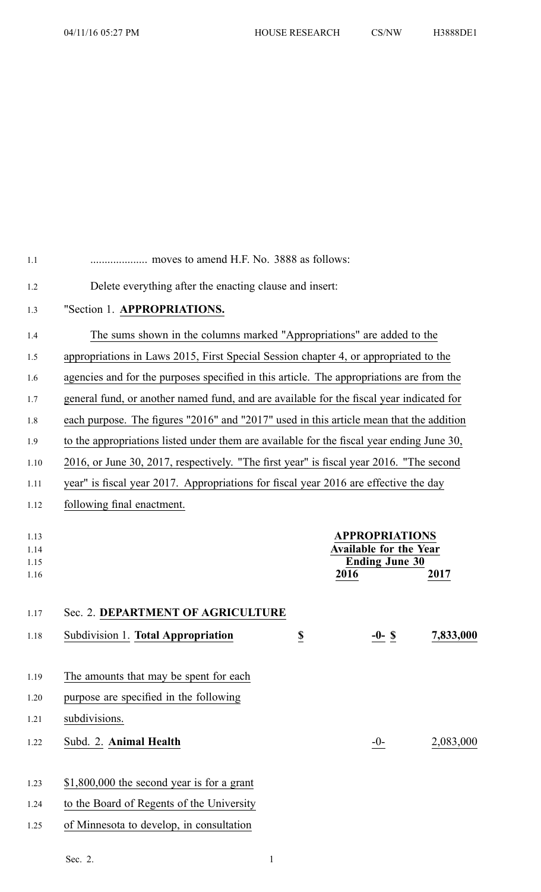| 1.1                          |                                                                                           |                         |                                                                                 |           |
|------------------------------|-------------------------------------------------------------------------------------------|-------------------------|---------------------------------------------------------------------------------|-----------|
| 1.2                          | Delete everything after the enacting clause and insert:                                   |                         |                                                                                 |           |
| 1.3                          | "Section 1. APPROPRIATIONS.                                                               |                         |                                                                                 |           |
| 1.4                          | The sums shown in the columns marked "Appropriations" are added to the                    |                         |                                                                                 |           |
| 1.5                          | appropriations in Laws 2015, First Special Session chapter 4, or appropriated to the      |                         |                                                                                 |           |
| 1.6                          | agencies and for the purposes specified in this article. The appropriations are from the  |                         |                                                                                 |           |
| 1.7                          | general fund, or another named fund, and are available for the fiscal year indicated for  |                         |                                                                                 |           |
| 1.8                          | each purpose. The figures "2016" and "2017" used in this article mean that the addition   |                         |                                                                                 |           |
| 1.9                          | to the appropriations listed under them are available for the fiscal year ending June 30, |                         |                                                                                 |           |
| 1.10                         | 2016, or June 30, 2017, respectively. "The first year" is fiscal year 2016. "The second   |                         |                                                                                 |           |
| 1.11                         | year" is fiscal year 2017. Appropriations for fiscal year 2016 are effective the day      |                         |                                                                                 |           |
| 1.12                         | following final enactment.                                                                |                         |                                                                                 |           |
| 1.13<br>1.14<br>1.15<br>1.16 |                                                                                           | 2016                    | <b>APPROPRIATIONS</b><br><b>Available for the Year</b><br><b>Ending June 30</b> | 2017      |
| 1.17                         | Sec. 2. DEPARTMENT OF AGRICULTURE                                                         |                         |                                                                                 |           |
| 1.18                         | Subdivision 1. Total Appropriation                                                        | $\overline{\mathbf{z}}$ | -0- \$                                                                          | 7,833,000 |
|                              |                                                                                           |                         |                                                                                 |           |
| 1.19                         | The amounts that may be spent for each                                                    |                         |                                                                                 |           |
| 1.20                         | purpose are specified in the following                                                    |                         |                                                                                 |           |
| 1.21                         | subdivisions.                                                                             |                         |                                                                                 |           |
| 1.22                         | Subd. 2. Animal Health                                                                    |                         | $-0-$                                                                           | 2,083,000 |
|                              |                                                                                           |                         |                                                                                 |           |
| 1.23                         | $$1,800,000$ the second year is for a grant                                               |                         |                                                                                 |           |
| 1.24                         | to the Board of Regents of the University                                                 |                         |                                                                                 |           |
| 1.25                         | of Minnesota to develop, in consultation                                                  |                         |                                                                                 |           |
|                              |                                                                                           |                         |                                                                                 |           |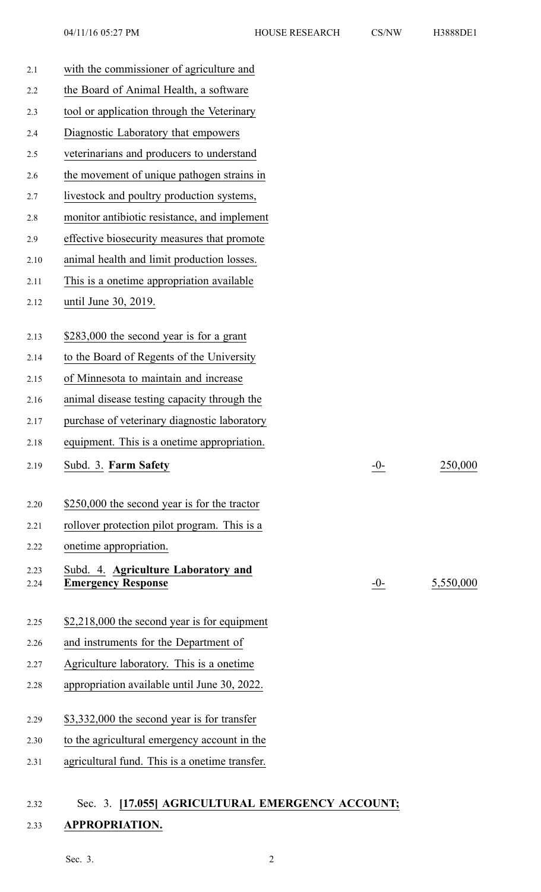| 2.2<br>2.3<br>2.4<br>2.5<br>2.6 | the Board of Animal Health, a software<br>tool or application through the Veterinary |       |           |
|---------------------------------|--------------------------------------------------------------------------------------|-------|-----------|
|                                 |                                                                                      |       |           |
|                                 |                                                                                      |       |           |
|                                 | Diagnostic Laboratory that empowers                                                  |       |           |
|                                 | veterinarians and producers to understand                                            |       |           |
|                                 | the movement of unique pathogen strains in                                           |       |           |
| 2.7                             | livestock and poultry production systems,                                            |       |           |
| 2.8                             | monitor antibiotic resistance, and implement                                         |       |           |
| 2.9                             | effective biosecurity measures that promote                                          |       |           |
| 2.10                            | animal health and limit production losses.                                           |       |           |
| 2.11                            | This is a onetime appropriation available                                            |       |           |
| 2.12                            | until June 30, 2019.                                                                 |       |           |
| 2.13                            | \$283,000 the second year is for a grant                                             |       |           |
| 2.14                            | to the Board of Regents of the University                                            |       |           |
| 2.15                            | of Minnesota to maintain and increase                                                |       |           |
| 2.16                            | animal disease testing capacity through the                                          |       |           |
| 2.17                            | purchase of veterinary diagnostic laboratory                                         |       |           |
| 2.18                            | equipment. This is a onetime appropriation.                                          |       |           |
| 2.19                            | Subd. 3. Farm Safety                                                                 | $-0-$ | 250,000   |
| 2.20                            | \$250,000 the second year is for the tractor                                         |       |           |
| 2.21                            | rollover protection pilot program. This is a                                         |       |           |
| 2.22                            | onetime appropriation.                                                               |       |           |
| 2.23<br>2.24                    | Subd. 4. Agriculture Laboratory and<br><b>Emergency Response</b>                     | $-0-$ | 5,550,000 |
| 2.25                            | \$2,218,000 the second year is for equipment                                         |       |           |
| 2.26                            | and instruments for the Department of                                                |       |           |
| 2.27                            | Agriculture laboratory. This is a onetime                                            |       |           |
| 2.28                            | appropriation available until June 30, 2022.                                         |       |           |
| 2.29                            | \$3,332,000 the second year is for transfer                                          |       |           |
| 2.30                            | to the agricultural emergency account in the                                         |       |           |
| 2.31                            | agricultural fund. This is a onetime transfer.                                       |       |           |

# 2.32 Sec. 3. **[17.055] AGRICULTURAL EMERGENCY ACCOUNT;** 2.33 **APPROPRIATION.**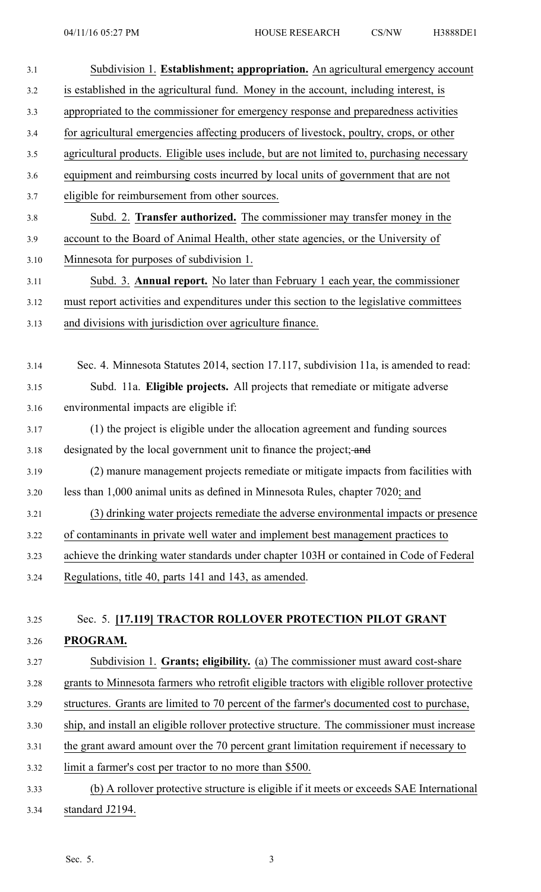| 3.1  | Subdivision 1. Establishment; appropriation. An agricultural emergency account               |
|------|----------------------------------------------------------------------------------------------|
| 3.2  | is established in the agricultural fund. Money in the account, including interest, is        |
| 3.3  | appropriated to the commissioner for emergency response and preparedness activities          |
| 3.4  | for agricultural emergencies affecting producers of livestock, poultry, crops, or other      |
| 3.5  | agricultural products. Eligible uses include, but are not limited to, purchasing necessary   |
| 3.6  | equipment and reimbursing costs incurred by local units of government that are not           |
| 3.7  | eligible for reimbursement from other sources.                                               |
| 3.8  | Subd. 2. Transfer authorized. The commissioner may transfer money in the                     |
| 3.9  | account to the Board of Animal Health, other state agencies, or the University of            |
| 3.10 | Minnesota for purposes of subdivision 1.                                                     |
| 3.11 | Subd. 3. Annual report. No later than February 1 each year, the commissioner                 |
| 3.12 | must report activities and expenditures under this section to the legislative committees     |
| 3.13 | and divisions with jurisdiction over agriculture finance.                                    |
|      |                                                                                              |
| 3.14 | Sec. 4. Minnesota Statutes 2014, section 17.117, subdivision 11a, is amended to read:        |
| 3.15 | Subd. 11a. Eligible projects. All projects that remediate or mitigate adverse                |
| 3.16 | environmental impacts are eligible if:                                                       |
| 3.17 | (1) the project is eligible under the allocation agreement and funding sources               |
| 3.18 | designated by the local government unit to finance the project; and                          |
| 3.19 | (2) manure management projects remediate or mitigate impacts from facilities with            |
| 3.20 | less than 1,000 animal units as defined in Minnesota Rules, chapter 7020; and                |
| 3.21 | (3) drinking water projects remediate the adverse environmental impacts or presence          |
| 3.22 | of contaminants in private well water and implement best management practices to             |
| 3.23 | achieve the drinking water standards under chapter 103H or contained in Code of Federal      |
| 3.24 | Regulations, title 40, parts 141 and 143, as amended.                                        |
|      |                                                                                              |
| 3.25 | Sec. 5. [17.119] TRACTOR ROLLOVER PROTECTION PILOT GRANT                                     |
| 3.26 | PROGRAM.                                                                                     |
| 3.27 | Subdivision 1. Grants; eligibility. (a) The commissioner must award cost-share               |
| 3.28 | grants to Minnesota farmers who retrofit eligible tractors with eligible rollover protective |
| 3.29 | structures. Grants are limited to 70 percent of the farmer's documented cost to purchase,    |
| 3.30 | ship, and install an eligible rollover protective structure. The commissioner must increase  |
| 3.31 | the grant award amount over the 70 percent grant limitation requirement if necessary to      |
| 3.32 | limit a farmer's cost per tractor to no more than \$500.                                     |
| 3.33 | (b) A rollover protective structure is eligible if it meets or exceeds SAE International     |
| 3.34 | standard J2194.                                                                              |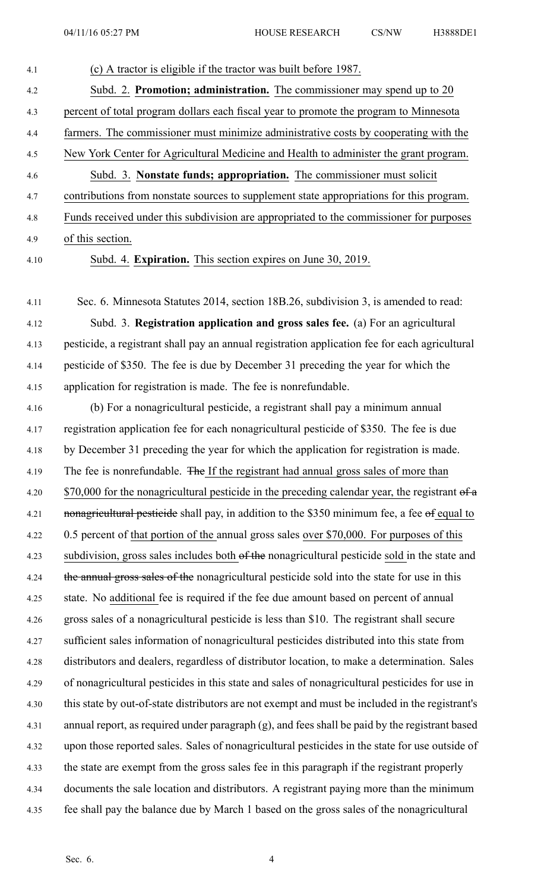# 4.1 (c) A tractor is eligible if the tractor was built before 1987. 4.2 Subd. 2. **Promotion; administration.** The commissioner may spend up to 20 4.3 percen<sup>t</sup> of total program dollars each fiscal year to promote the program to Minnesota 4.4 farmers. The commissioner must minimize administrative costs by cooperating with the 4.5 New York Center for Agricultural Medicine and Health to administer the gran<sup>t</sup> program. 4.6 Subd. 3. **Nonstate funds; appropriation.** The commissioner must solicit 4.7 contributions from nonstate sources to supplement state appropriations for this program. 4.8 Funds received under this subdivision are appropriated to the commissioner for purposes 4.9 of this section.

4.10 Subd. 4. **Expiration.** This section expires on June 30, 2019.

4.11 Sec. 6. Minnesota Statutes 2014, section 18B.26, subdivision 3, is amended to read: 4.12 Subd. 3. **Registration application and gross sales fee.** (a) For an agricultural 4.13 pesticide, <sup>a</sup> registrant shall pay an annual registration application fee for each agricultural 4.14 pesticide of \$350. The fee is due by December 31 preceding the year for which the 4.15 application for registration is made. The fee is nonrefundable.

4.16 (b) For <sup>a</sup> nonagricultural pesticide, <sup>a</sup> registrant shall pay <sup>a</sup> minimum annual 4.17 registration application fee for each nonagricultural pesticide of \$350. The fee is due 4.18 by December 31 preceding the year for which the application for registration is made. 4.19 The fee is nonrefundable. The If the registrant had annual gross sales of more than 4.20  $\frac{$70,000}{\text{for the nonagricultural persistence in the preceding calendar year, the registration of a}$ 4.21 **nonagricultural pesticide** shall pay, in addition to the \$350 minimum fee, a fee of equal to 4.22 0.5 percen<sup>t</sup> of that portion of the annual gross sales over \$70,000. For purposes of this 4.23 subdivision, gross sales includes both of the nonagricultural pesticide sold in the state and 4.24 the annual gross sales of the nonagricultural pesticide sold into the state for use in this 4.25 state. No additional fee is required if the fee due amount based on percen<sup>t</sup> of annual 4.26 gross sales of <sup>a</sup> nonagricultural pesticide is less than \$10. The registrant shall secure 4.27 sufficient sales information of nonagricultural pesticides distributed into this state from 4.28 distributors and dealers, regardless of distributor location, to make <sup>a</sup> determination. Sales 4.29 of nonagricultural pesticides in this state and sales of nonagricultural pesticides for use in 4.30 this state by out-of-state distributors are not exemp<sup>t</sup> and must be included in the registrant's 4.31 annual report, as required under paragraph (g), and fees shall be paid by the registrant based 4.32 upon those reported sales. Sales of nonagricultural pesticides in the state for use outside of 4.33 the state are exemp<sup>t</sup> from the gross sales fee in this paragraph if the registrant properly 4.34 documents the sale location and distributors. A registrant paying more than the minimum 4.35 fee shall pay the balance due by March 1 based on the gross sales of the nonagricultural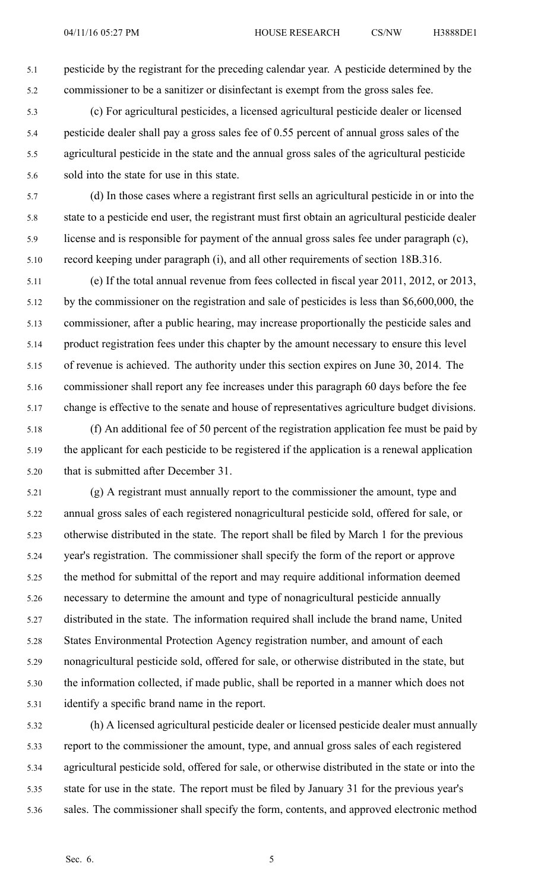5.1 pesticide by the registrant for the preceding calendar year. A pesticide determined by the 5.2 commissioner to be <sup>a</sup> sanitizer or disinfectant is exemp<sup>t</sup> from the gross sales fee.

- 5.3 (c) For agricultural pesticides, <sup>a</sup> licensed agricultural pesticide dealer or licensed 5.4 pesticide dealer shall pay <sup>a</sup> gross sales fee of 0.55 percen<sup>t</sup> of annual gross sales of the 5.5 agricultural pesticide in the state and the annual gross sales of the agricultural pesticide 5.6 sold into the state for use in this state.
- 5.7 (d) In those cases where <sup>a</sup> registrant first sells an agricultural pesticide in or into the 5.8 state to <sup>a</sup> pesticide end user, the registrant must first obtain an agricultural pesticide dealer 5.9 license and is responsible for paymen<sup>t</sup> of the annual gross sales fee under paragraph (c), 5.10 record keeping under paragraph (i), and all other requirements of section 18B.316.
- 5.11 (e) If the total annual revenue from fees collected in fiscal year 2011, 2012, or 2013, 5.12 by the commissioner on the registration and sale of pesticides is less than \$6,600,000, the 5.13 commissioner, after <sup>a</sup> public hearing, may increase proportionally the pesticide sales and 5.14 product registration fees under this chapter by the amount necessary to ensure this level 5.15 of revenue is achieved. The authority under this section expires on June 30, 2014. The 5.16 commissioner shall repor<sup>t</sup> any fee increases under this paragraph 60 days before the fee 5.17 change is effective to the senate and house of representatives agriculture budget divisions.
- 5.18 (f) An additional fee of 50 percen<sup>t</sup> of the registration application fee must be paid by 5.19 the applicant for each pesticide to be registered if the application is <sup>a</sup> renewal application 5.20 that is submitted after December 31.
- 5.21 (g) A registrant must annually repor<sup>t</sup> to the commissioner the amount, type and 5.22 annual gross sales of each registered nonagricultural pesticide sold, offered for sale, or 5.23 otherwise distributed in the state. The repor<sup>t</sup> shall be filed by March 1 for the previous 5.24 year's registration. The commissioner shall specify the form of the repor<sup>t</sup> or approve 5.25 the method for submittal of the repor<sup>t</sup> and may require additional information deemed 5.26 necessary to determine the amount and type of nonagricultural pesticide annually 5.27 distributed in the state. The information required shall include the brand name, United 5.28 States Environmental Protection Agency registration number, and amount of each 5.29 nonagricultural pesticide sold, offered for sale, or otherwise distributed in the state, but 5.30 the information collected, if made public, shall be reported in <sup>a</sup> manner which does not 5.31 identify <sup>a</sup> specific brand name in the report.
- 5.32 (h) A licensed agricultural pesticide dealer or licensed pesticide dealer must annually 5.33 repor<sup>t</sup> to the commissioner the amount, type, and annual gross sales of each registered 5.34 agricultural pesticide sold, offered for sale, or otherwise distributed in the state or into the 5.35 state for use in the state. The repor<sup>t</sup> must be filed by January 31 for the previous year's 5.36 sales. The commissioner shall specify the form, contents, and approved electronic method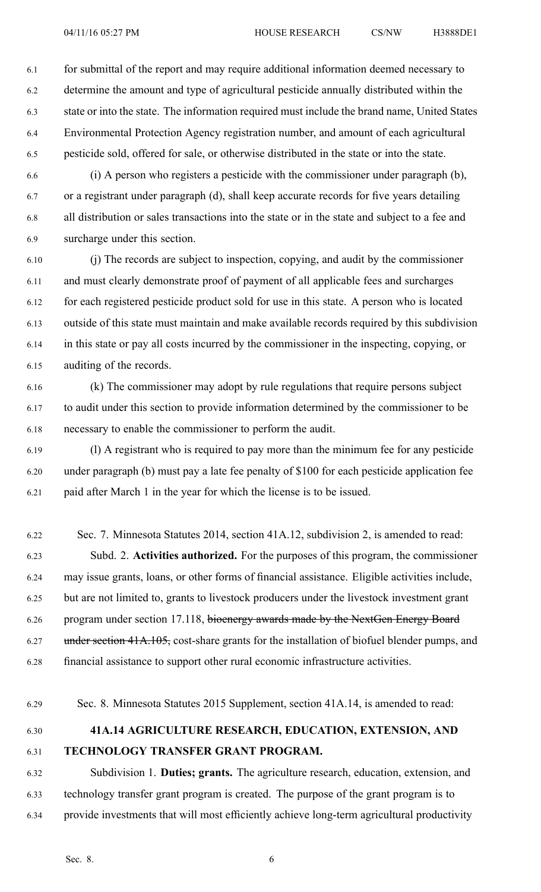6.1 for submittal of the repor<sup>t</sup> and may require additional information deemed necessary to 6.2 determine the amount and type of agricultural pesticide annually distributed within the 6.3 state or into the state. The information required must include the brand name, United States 6.4 Environmental Protection Agency registration number, and amount of each agricultural 6.5 pesticide sold, offered for sale, or otherwise distributed in the state or into the state.

6.6 (i) A person who registers <sup>a</sup> pesticide with the commissioner under paragraph (b), 6.7 or <sup>a</sup> registrant under paragraph (d), shall keep accurate records for five years detailing 6.8 all distribution or sales transactions into the state or in the state and subject to <sup>a</sup> fee and 6.9 surcharge under this section.

6.10 (j) The records are subject to inspection, copying, and audit by the commissioner 6.11 and must clearly demonstrate proof of paymen<sup>t</sup> of all applicable fees and surcharges 6.12 for each registered pesticide product sold for use in this state. A person who is located 6.13 outside of this state must maintain and make available records required by this subdivision 6.14 in this state or pay all costs incurred by the commissioner in the inspecting, copying, or 6.15 auditing of the records.

6.16 (k) The commissioner may adopt by rule regulations that require persons subject 6.17 to audit under this section to provide information determined by the commissioner to be 6.18 necessary to enable the commissioner to perform the audit.

6.19 (l) A registrant who is required to pay more than the minimum fee for any pesticide 6.20 under paragraph (b) must pay <sup>a</sup> late fee penalty of \$100 for each pesticide application fee 6.21 paid after March 1 in the year for which the license is to be issued.

6.22 Sec. 7. Minnesota Statutes 2014, section 41A.12, subdivision 2, is amended to read: 6.23 Subd. 2. **Activities authorized.** For the purposes of this program, the commissioner 6.24 may issue grants, loans, or other forms of financial assistance. Eligible activities include, 6.25 but are not limited to, grants to livestock producers under the livestock investment gran<sup>t</sup> 6.26 program under section 17.118, bioenergy awards made by the NextGen Energy Board 6.27 under section 41A.105, cost-share grants for the installation of biofuel blender pumps, and 6.28 financial assistance to suppor<sup>t</sup> other rural economic infrastructure activities.

6.29 Sec. 8. Minnesota Statutes 2015 Supplement, section 41A.14, is amended to read:

## 6.30 **41A.14 AGRICULTURE RESEARCH, EDUCATION, EXTENSION, AND** 6.31 **TECHNOLOGY TRANSFER GRANT PROGRAM.**

6.32 Subdivision 1. **Duties; grants.** The agriculture research, education, extension, and 6.33 technology transfer gran<sup>t</sup> program is created. The purpose of the gran<sup>t</sup> program is to 6.34 provide investments that will most efficiently achieve long-term agricultural productivity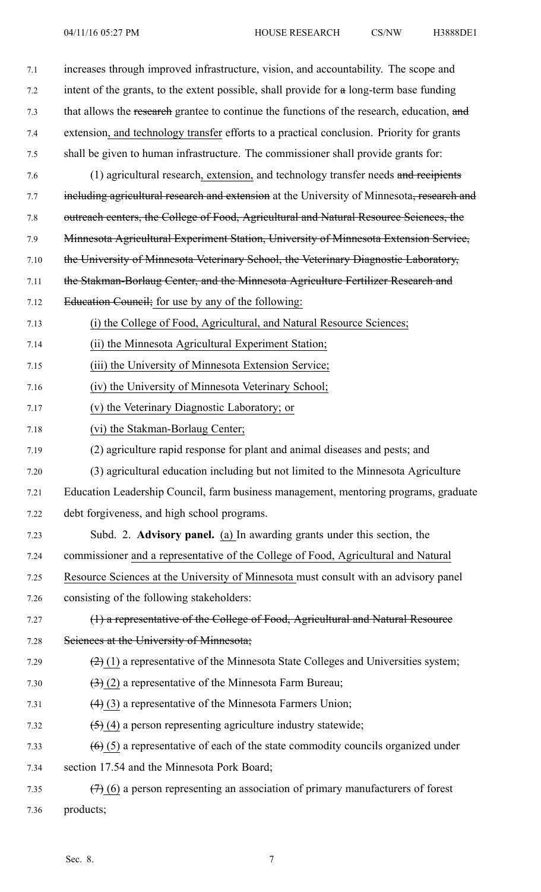| 7.1  | increases through improved infrastructure, vision, and accountability. The scope and       |
|------|--------------------------------------------------------------------------------------------|
| 7.2  | intent of the grants, to the extent possible, shall provide for a long-term base funding   |
| 7.3  | that allows the research grantee to continue the functions of the research, education, and |
| 7.4  | extension, and technology transfer efforts to a practical conclusion. Priority for grants  |
| 7.5  | shall be given to human infrastructure. The commissioner shall provide grants for:         |
| 7.6  | (1) agricultural research, extension, and technology transfer needs and recipients         |
| 7.7  | including agricultural research and extension at the University of Minnesota, research and |
| 7.8  | outreach centers, the College of Food, Agricultural and Natural Resource Sciences, the     |
| 7.9  | Minnesota Agricultural Experiment Station, University of Minnesota Extension Service,      |
| 7.10 | the University of Minnesota Veterinary School, the Veterinary Diagnostic Laboratory,       |
| 7.11 | the Stakman-Borlaug Center, and the Minnesota Agriculture Fertilizer Research and          |
| 7.12 | Education Council; for use by any of the following:                                        |
| 7.13 | (i) the College of Food, Agricultural, and Natural Resource Sciences;                      |
| 7.14 | (ii) the Minnesota Agricultural Experiment Station;                                        |
| 7.15 | (iii) the University of Minnesota Extension Service;                                       |
| 7.16 | (iv) the University of Minnesota Veterinary School;                                        |
| 7.17 | (v) the Veterinary Diagnostic Laboratory; or                                               |
| 7.18 | (vi) the Stakman-Borlaug Center;                                                           |
|      |                                                                                            |
| 7.19 | (2) agriculture rapid response for plant and animal diseases and pests; and                |
| 7.20 | (3) agricultural education including but not limited to the Minnesota Agriculture          |
| 7.21 | Education Leadership Council, farm business management, mentoring programs, graduate       |
| 7.22 | debt forgiveness, and high school programs.                                                |
| 7.23 | Subd. 2. Advisory panel. (a) In awarding grants under this section, the                    |
| 7.24 | commissioner and a representative of the College of Food, Agricultural and Natural         |
| 7.25 | Resource Sciences at the University of Minnesota must consult with an advisory panel       |
| 7.26 | consisting of the following stakeholders:                                                  |
| 7.27 | (1) a representative of the College of Food, Agricultural and Natural Resource             |
| 7.28 | Sciences at the University of Minnesota;                                                   |
| 7.29 | $(2)$ (1) a representative of the Minnesota State Colleges and Universities system;        |
| 7.30 | $\left(\frac{1}{2}\right)$ (2) a representative of the Minnesota Farm Bureau;              |
| 7.31 | $(4)$ (3) a representative of the Minnesota Farmers Union;                                 |
| 7.32 | $(5)$ (4) a person representing agriculture industry statewide;                            |
| 7.33 | $(6)$ (5) a representative of each of the state commodity councils organized under         |
| 7.34 | section 17.54 and the Minnesota Pork Board;                                                |
| 7.35 | $(7)$ (6) a person representing an association of primary manufacturers of forest          |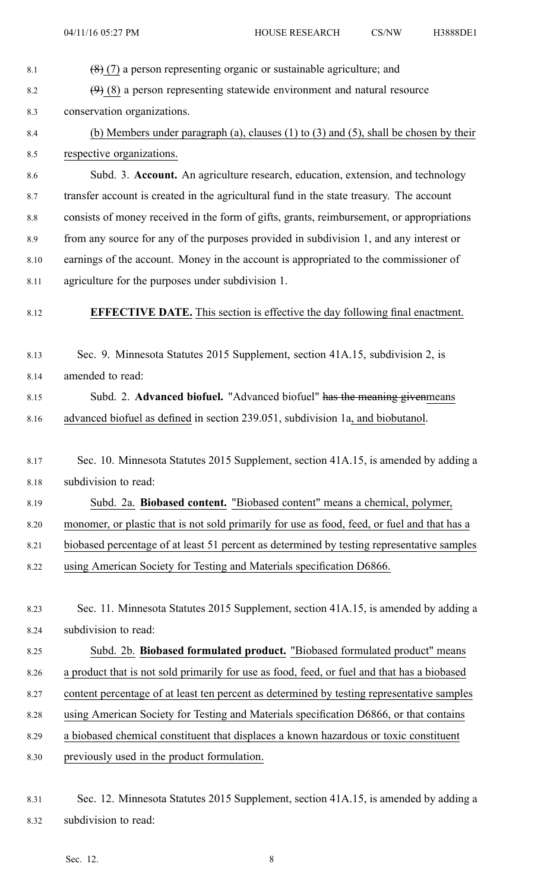8.3 conservation organizations.

- 8.4 (b) Members under paragraph (a), clauses (1) to (3) and (5), shall be chosen by their 8.5 respective organizations. 8.6 Subd. 3. **Account.** An agriculture research, education, extension, and technology 8.7 transfer account is created in the agricultural fund in the state treasury. The account 8.8 consists of money received in the form of gifts, grants, reimbursement, or appropriations 8.9 from any source for any of the purposes provided in subdivision 1, and any interest or 8.10 earnings of the account. Money in the account is appropriated to the commissioner of 8.11 agriculture for the purposes under subdivision 1. 8.12 **EFFECTIVE DATE.** This section is effective the day following final enactment. 8.13 Sec. 9. Minnesota Statutes 2015 Supplement, section 41A.15, subdivision 2, is 8.14 amended to read: 8.15 Subd. 2. **Advanced biofuel.** "Advanced biofuel" has the meaning givenmeans 8.16 advanced biofuel as defined in section 239.051, subdivision 1a, and biobutanol. 8.17 Sec. 10. Minnesota Statutes 2015 Supplement, section 41A.15, is amended by adding <sup>a</sup> 8.18 subdivision to read: 8.19 Subd. 2a. **Biobased content.** "Biobased content" means <sup>a</sup> chemical, polymer, 8.20 monomer, or plastic that is not sold primarily for use as food, feed, or fuel and that has <sup>a</sup> 8.21 biobased percentage of at least 51 percen<sup>t</sup> as determined by testing representative samples 8.22 using American Society for Testing and Materials specification D6866. 8.23 Sec. 11. Minnesota Statutes 2015 Supplement, section 41A.15, is amended by adding <sup>a</sup> 8.24 subdivision to read: 8.25 Subd. 2b. **Biobased formulated product.** "Biobased formulated product" means 8.26 <sup>a</sup> product that is not sold primarily for use as food, feed, or fuel and that has <sup>a</sup> biobased 8.27 content percentage of at least ten percen<sup>t</sup> as determined by testing representative samples 8.28 using American Society for Testing and Materials specification D6866, or that contains 8.29 <sup>a</sup> biobased chemical constituent that displaces <sup>a</sup> known hazardous or toxic constituent 8.30 previously used in the product formulation. 8.31 Sec. 12. Minnesota Statutes 2015 Supplement, section 41A.15, is amended by adding <sup>a</sup> 8.32 subdivision to read:
- 8.1  $(8)(7)$  a person representing organic or sustainable agriculture; and

8.2  $(9)$  (8) a person representing statewide environment and natural resource

Sec. 12. 8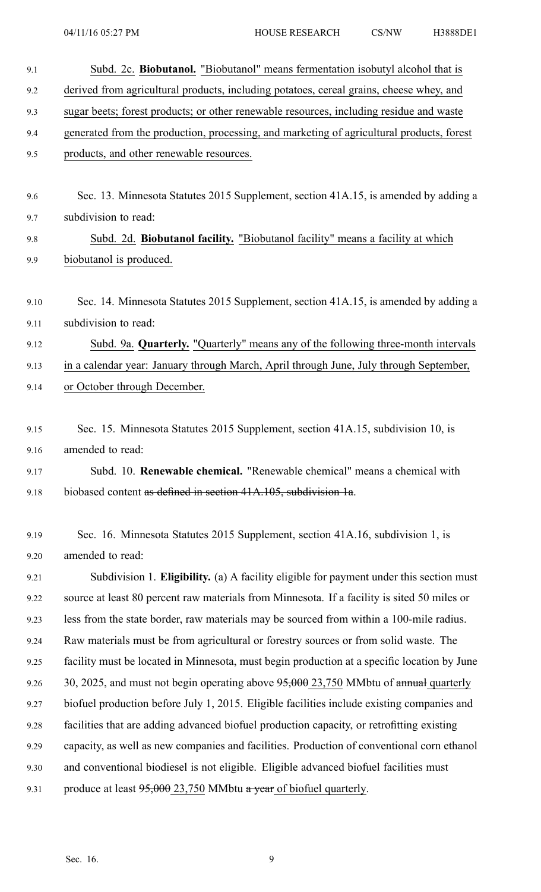| 9.1  | Subd. 2c. Biobutanol. "Biobutanol" means fermentation isobutyl alcohol that is              |
|------|---------------------------------------------------------------------------------------------|
| 9.2  | derived from agricultural products, including potatoes, cereal grains, cheese whey, and     |
| 9.3  | sugar beets; forest products; or other renewable resources, including residue and waste     |
| 9.4  | generated from the production, processing, and marketing of agricultural products, forest   |
| 9.5  | products, and other renewable resources.                                                    |
|      |                                                                                             |
| 9.6  | Sec. 13. Minnesota Statutes 2015 Supplement, section 41A.15, is amended by adding a         |
| 9.7  | subdivision to read:                                                                        |
| 9.8  | Subd. 2d. Biobutanol facility. "Biobutanol facility" means a facility at which              |
| 9.9  | biobutanol is produced.                                                                     |
|      |                                                                                             |
| 9.10 | Sec. 14. Minnesota Statutes 2015 Supplement, section 41A.15, is amended by adding a         |
| 9.11 | subdivision to read:                                                                        |
| 9.12 | Subd. 9a. Quarterly. "Quarterly" means any of the following three-month intervals           |
| 9.13 | in a calendar year: January through March, April through June, July through September,      |
| 9.14 | or October through December.                                                                |
|      |                                                                                             |
| 9.15 | Sec. 15. Minnesota Statutes 2015 Supplement, section 41A.15, subdivision 10, is             |
| 9.16 | amended to read:                                                                            |
| 9.17 | Subd. 10. Renewable chemical. "Renewable chemical" means a chemical with                    |
| 9.18 | biobased content as defined in section 41A.105, subdivision 1a.                             |
|      |                                                                                             |
| 9.19 | Sec. 16. Minnesota Statutes 2015 Supplement, section 41A.16, subdivision 1, is              |
| 9.20 | amended to read:                                                                            |
| 9.21 | Subdivision 1. Eligibility. (a) A facility eligible for payment under this section must     |
| 9.22 | source at least 80 percent raw materials from Minnesota. If a facility is sited 50 miles or |
| 9.23 | less from the state border, raw materials may be sourced from within a 100-mile radius.     |
| 9.24 | Raw materials must be from agricultural or forestry sources or from solid waste. The        |
| 9.25 | facility must be located in Minnesota, must begin production at a specific location by June |
| 9.26 | 30, 2025, and must not begin operating above 95,000 23,750 MMbtu of annual quarterly        |
| 9.27 | biofuel production before July 1, 2015. Eligible facilities include existing companies and  |
| 9.28 | facilities that are adding advanced biofuel production capacity, or retrofitting existing   |
| 9.29 | capacity, as well as new companies and facilities. Production of conventional corn ethanol  |
| 9.30 | and conventional biodiesel is not eligible. Eligible advanced biofuel facilities must       |
| 9.31 | produce at least $95,000$ 23,750 MMbtu a year of biofuel quarterly.                         |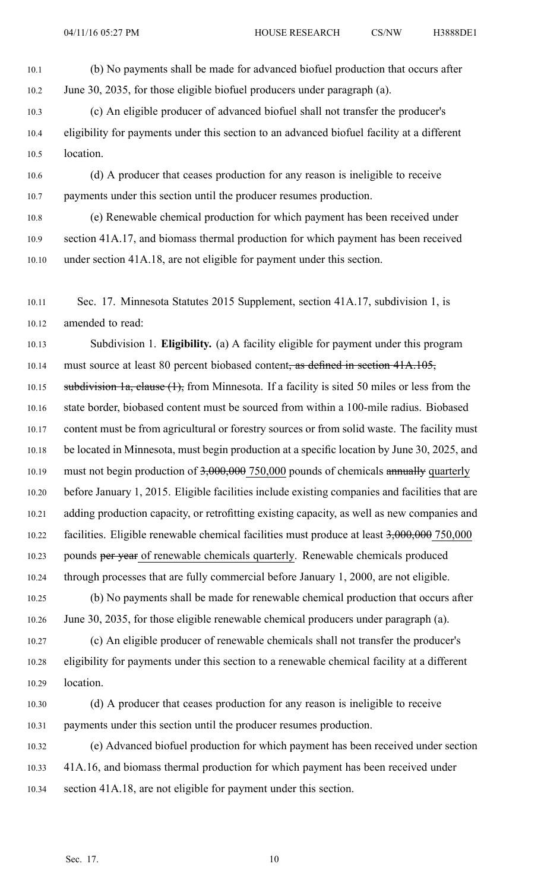10.1 (b) No payments shall be made for advanced biofuel production that occurs after 10.2 June 30, 2035, for those eligible biofuel producers under paragraph (a).

10.3 (c) An eligible producer of advanced biofuel shall not transfer the producer's 10.4 eligibility for payments under this section to an advanced biofuel facility at <sup>a</sup> different 10.5 location.

10.6 (d) A producer that ceases production for any reason is ineligible to receive 10.7 payments under this section until the producer resumes production.

10.8 (e) Renewable chemical production for which paymen<sup>t</sup> has been received under 10.9 section 41A.17, and biomass thermal production for which paymen<sup>t</sup> has been received 10.10 under section 41A.18, are not eligible for paymen<sup>t</sup> under this section.

10.11 Sec. 17. Minnesota Statutes 2015 Supplement, section 41A.17, subdivision 1, is 10.12 amended to read:

10.13 Subdivision 1. **Eligibility.** (a) A facility eligible for paymen<sup>t</sup> under this program 10.14 must source at least 80 percent biobased content, as defined in section 41A.105, 10.15 subdivision 1a, clause (1), from Minnesota. If a facility is sited 50 miles or less from the 10.16 state border, biobased content must be sourced from within <sup>a</sup> 100-mile radius. Biobased 10.17 content must be from agricultural or forestry sources or from solid waste. The facility must 10.18 be located in Minnesota, must begin production at <sup>a</sup> specific location by June 30, 2025, and 10.19 must not begin production of 3,000,000 750,000 pounds of chemicals annually quarterly 10.20 before January 1, 2015. Eligible facilities include existing companies and facilities that are 10.21 adding production capacity, or retrofitting existing capacity, as well as new companies and 10.22 facilities. Eligible renewable chemical facilities must produce at least 3,000,000 750,000 10.23 pounds per year of renewable chemicals quarterly. Renewable chemicals produced 10.24 through processes that are fully commercial before January 1, 2000, are not eligible.

10.25 (b) No payments shall be made for renewable chemical production that occurs after 10.26 June 30, 2035, for those eligible renewable chemical producers under paragraph (a).

10.27 (c) An eligible producer of renewable chemicals shall not transfer the producer's 10.28 eligibility for payments under this section to <sup>a</sup> renewable chemical facility at <sup>a</sup> different 10.29 location.

10.30 (d) A producer that ceases production for any reason is ineligible to receive 10.31 payments under this section until the producer resumes production.

10.32 (e) Advanced biofuel production for which paymen<sup>t</sup> has been received under section 10.33 41A.16, and biomass thermal production for which paymen<sup>t</sup> has been received under 10.34 section 41A.18, are not eligible for paymen<sup>t</sup> under this section.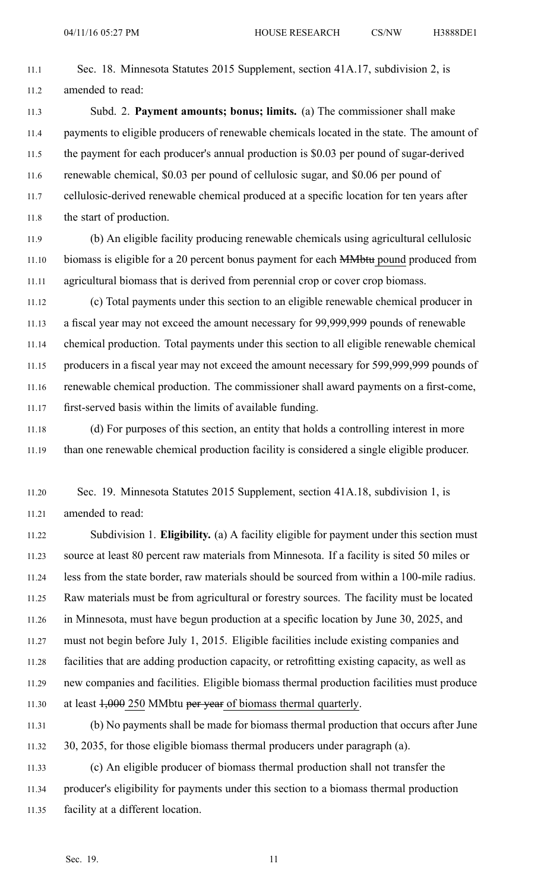- 11.1 Sec. 18. Minnesota Statutes 2015 Supplement, section 41A.17, subdivision 2, is 11.2 amended to read:
- 11.3 Subd. 2. **Payment amounts; bonus; limits.** (a) The commissioner shall make 11.4 payments to eligible producers of renewable chemicals located in the state. The amount of 11.5 the paymen<sup>t</sup> for each producer's annual production is \$0.03 per pound of sugar-derived 11.6 renewable chemical, \$0.03 per pound of cellulosic sugar, and \$0.06 per pound of 11.7 cellulosic-derived renewable chemical produced at <sup>a</sup> specific location for ten years after 11.8 the start of production.
- 11.9 (b) An eligible facility producing renewable chemicals using agricultural cellulosic 11.10 biomass is eligible for a 20 percent bonus payment for each MMbtu pound produced from 11.11 agricultural biomass that is derived from perennial crop or cover crop biomass.
- 11.12 (c) Total payments under this section to an eligible renewable chemical producer in 11.13 <sup>a</sup> fiscal year may not exceed the amount necessary for 99,999,999 pounds of renewable 11.14 chemical production. Total payments under this section to all eligible renewable chemical 11.15 producers in <sup>a</sup> fiscal year may not exceed the amount necessary for 599,999,999 pounds of 11.16 renewable chemical production. The commissioner shall award payments on <sup>a</sup> first-come, 11.17 first-served basis within the limits of available funding.
- 11.18 (d) For purposes of this section, an entity that holds <sup>a</sup> controlling interest in more 11.19 than one renewable chemical production facility is considered <sup>a</sup> single eligible producer.
- 11.20 Sec. 19. Minnesota Statutes 2015 Supplement, section 41A.18, subdivision 1, is 11.21 amended to read:

11.22 Subdivision 1. **Eligibility.** (a) A facility eligible for paymen<sup>t</sup> under this section must 11.23 source at least 80 percen<sup>t</sup> raw materials from Minnesota. If <sup>a</sup> facility is sited 50 miles or 11.24 less from the state border, raw materials should be sourced from within <sup>a</sup> 100-mile radius. 11.25 Raw materials must be from agricultural or forestry sources. The facility must be located 11.26 in Minnesota, must have begun production at <sup>a</sup> specific location by June 30, 2025, and 11.27 must not begin before July 1, 2015. Eligible facilities include existing companies and 11.28 facilities that are adding production capacity, or retrofitting existing capacity, as well as 11.29 new companies and facilities. Eligible biomass thermal production facilities must produce 11.30 at least  $1,000$  250 MMbtu per year of biomass thermal quarterly.

- 11.31 (b) No payments shall be made for biomass thermal production that occurs after June 11.32 30, 2035, for those eligible biomass thermal producers under paragraph (a).
- 11.33 (c) An eligible producer of biomass thermal production shall not transfer the 11.34 producer's eligibility for payments under this section to <sup>a</sup> biomass thermal production 11.35 facility at <sup>a</sup> different location.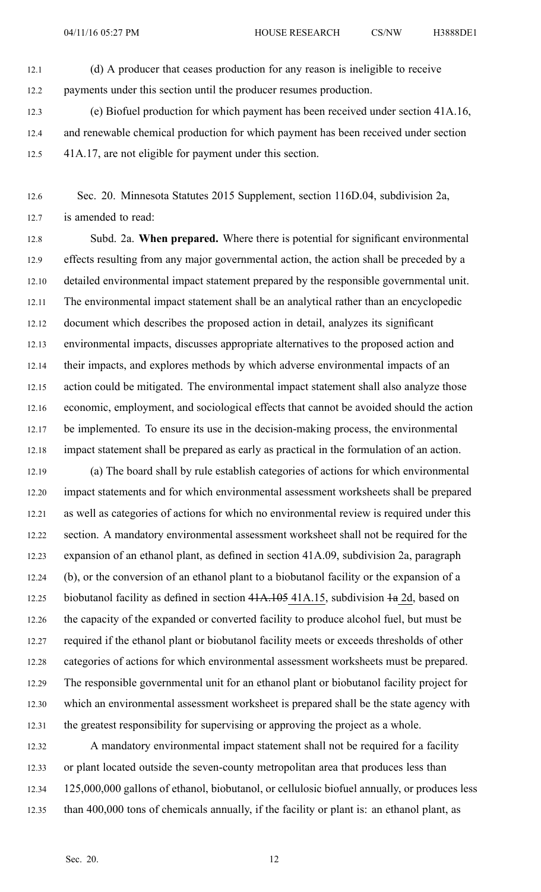- 12.1 (d) A producer that ceases production for any reason is ineligible to receive 12.2 payments under this section until the producer resumes production.
- 12.3 (e) Biofuel production for which paymen<sup>t</sup> has been received under section 41A.16, 12.4 and renewable chemical production for which paymen<sup>t</sup> has been received under section 12.5 41A.17, are not eligible for paymen<sup>t</sup> under this section.
- 12.6 Sec. 20. Minnesota Statutes 2015 Supplement, section 116D.04, subdivision 2a, 12.7 is amended to read:

12.8 Subd. 2a. **When prepared.** Where there is potential for significant environmental 12.9 effects resulting from any major governmental action, the action shall be preceded by <sup>a</sup> 12.10 detailed environmental impact statement prepared by the responsible governmental unit. 12.11 The environmental impact statement shall be an analytical rather than an encyclopedic 12.12 document which describes the proposed action in detail, analyzes its significant 12.13 environmental impacts, discusses appropriate alternatives to the proposed action and 12.14 their impacts, and explores methods by which adverse environmental impacts of an 12.15 action could be mitigated. The environmental impact statement shall also analyze those 12.16 economic, employment, and sociological effects that cannot be avoided should the action 12.17 be implemented. To ensure its use in the decision-making process, the environmental 12.18 impact statement shall be prepared as early as practical in the formulation of an action.

12.19 (a) The board shall by rule establish categories of actions for which environmental 12.20 impact statements and for which environmental assessment worksheets shall be prepared 12.21 as well as categories of actions for which no environmental review is required under this 12.22 section. A mandatory environmental assessment worksheet shall not be required for the 12.23 expansion of an ethanol plant, as defined in section 41A.09, subdivision 2a, paragraph 12.24 (b), or the conversion of an ethanol plant to <sup>a</sup> biobutanol facility or the expansion of <sup>a</sup> 12.25 biobutanol facility as defined in section 41A.105 41A.15, subdivision  $\pm a$  2d, based on 12.26 the capacity of the expanded or converted facility to produce alcohol fuel, but must be 12.27 required if the ethanol plant or biobutanol facility meets or exceeds thresholds of other 12.28 categories of actions for which environmental assessment worksheets must be prepared. 12.29 The responsible governmental unit for an ethanol plant or biobutanol facility project for 12.30 which an environmental assessment worksheet is prepared shall be the state agency with 12.31 the greatest responsibility for supervising or approving the project as <sup>a</sup> whole.

12.32 A mandatory environmental impact statement shall not be required for <sup>a</sup> facility 12.33 or plant located outside the seven-county metropolitan area that produces less than 12.34 125,000,000 gallons of ethanol, biobutanol, or cellulosic biofuel annually, or produces less 12.35 than 400,000 tons of chemicals annually, if the facility or plant is: an ethanol plant, as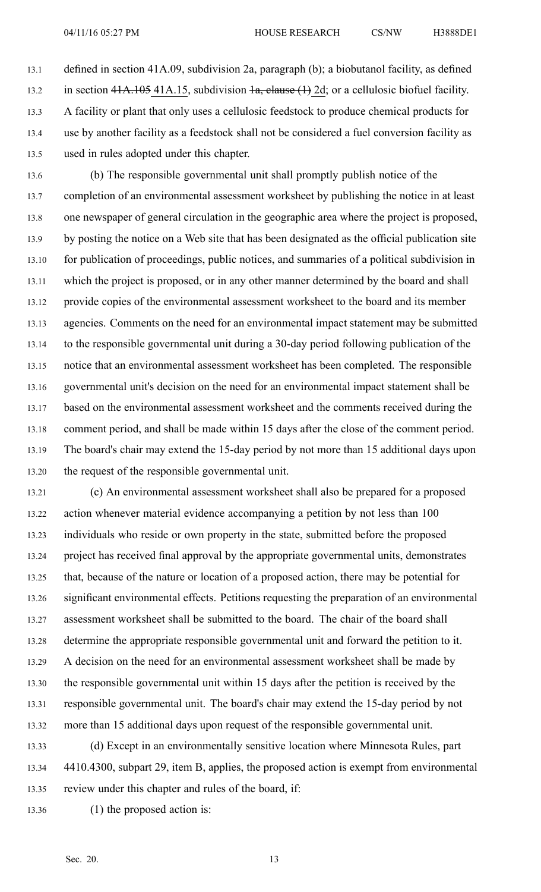13.1 defined in section 41A.09, subdivision 2a, paragraph (b); <sup>a</sup> biobutanol facility, as defined 13.2 in section  $41A.105\,41A.15$ , subdivision  $1a$ , clause  $(1)$  2d; or a cellulosic biofuel facility. 13.3 A facility or plant that only uses <sup>a</sup> cellulosic feedstock to produce chemical products for 13.4 use by another facility as <sup>a</sup> feedstock shall not be considered <sup>a</sup> fuel conversion facility as 13.5 used in rules adopted under this chapter.

13.6 (b) The responsible governmental unit shall promptly publish notice of the 13.7 completion of an environmental assessment worksheet by publishing the notice in at least 13.8 one newspaper of general circulation in the geographic area where the project is proposed, 13.9 by posting the notice on <sup>a</sup> Web site that has been designated as the official publication site 13.10 for publication of proceedings, public notices, and summaries of <sup>a</sup> political subdivision in 13.11 which the project is proposed, or in any other manner determined by the board and shall 13.12 provide copies of the environmental assessment worksheet to the board and its member 13.13 agencies. Comments on the need for an environmental impact statement may be submitted 13.14 to the responsible governmental unit during <sup>a</sup> 30-day period following publication of the 13.15 notice that an environmental assessment worksheet has been completed. The responsible 13.16 governmental unit's decision on the need for an environmental impact statement shall be 13.17 based on the environmental assessment worksheet and the comments received during the 13.18 comment period, and shall be made within 15 days after the close of the comment period. 13.19 The board's chair may extend the 15-day period by not more than 15 additional days upon 13.20 the reques<sup>t</sup> of the responsible governmental unit.

13.21 (c) An environmental assessment worksheet shall also be prepared for <sup>a</sup> proposed 13.22 action whenever material evidence accompanying <sup>a</sup> petition by not less than 100 13.23 individuals who reside or own property in the state, submitted before the proposed 13.24 project has received final approval by the appropriate governmental units, demonstrates 13.25 that, because of the nature or location of <sup>a</sup> proposed action, there may be potential for 13.26 significant environmental effects. Petitions requesting the preparation of an environmental 13.27 assessment worksheet shall be submitted to the board. The chair of the board shall 13.28 determine the appropriate responsible governmental unit and forward the petition to it. 13.29 A decision on the need for an environmental assessment worksheet shall be made by 13.30 the responsible governmental unit within 15 days after the petition is received by the 13.31 responsible governmental unit. The board's chair may extend the 15-day period by not 13.32 more than 15 additional days upon reques<sup>t</sup> of the responsible governmental unit.

13.33 (d) Except in an environmentally sensitive location where Minnesota Rules, par<sup>t</sup> 13.34 4410.4300, subpart 29, item B, applies, the proposed action is exemp<sup>t</sup> from environmental 13.35 review under this chapter and rules of the board, if:

13.36 (1) the proposed action is: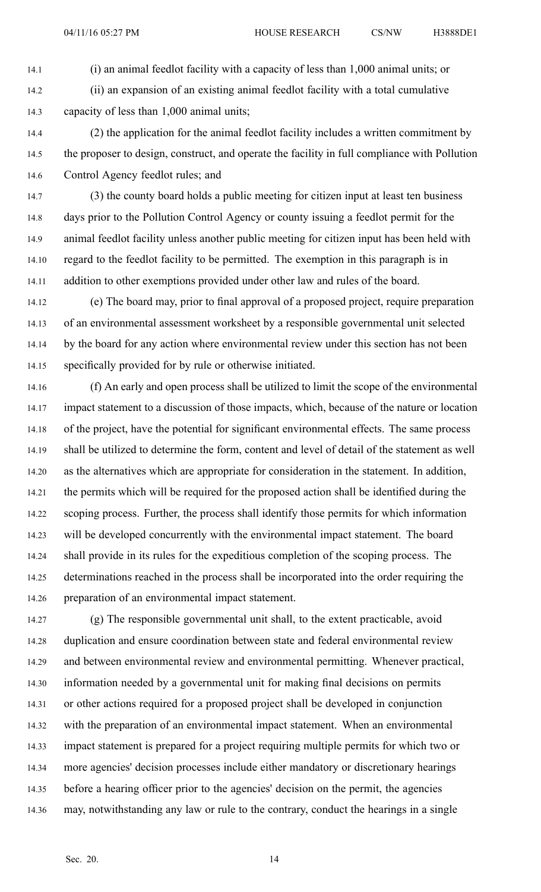14.1 (i) an animal feedlot facility with <sup>a</sup> capacity of less than 1,000 animal units; or

14.2 (ii) an expansion of an existing animal feedlot facility with <sup>a</sup> total cumulative 14.3 capacity of less than 1,000 animal units;

14.4 (2) the application for the animal feedlot facility includes <sup>a</sup> written commitment by 14.5 the proposer to design, construct, and operate the facility in full compliance with Pollution 14.6 Control Agency feedlot rules; and

14.7 (3) the county board holds <sup>a</sup> public meeting for citizen input at least ten business 14.8 days prior to the Pollution Control Agency or county issuing <sup>a</sup> feedlot permit for the 14.9 animal feedlot facility unless another public meeting for citizen input has been held with 14.10 regard to the feedlot facility to be permitted. The exemption in this paragraph is in 14.11 addition to other exemptions provided under other law and rules of the board.

14.12 (e) The board may, prior to final approval of <sup>a</sup> proposed project, require preparation 14.13 of an environmental assessment worksheet by <sup>a</sup> responsible governmental unit selected 14.14 by the board for any action where environmental review under this section has not been 14.15 specifically provided for by rule or otherwise initiated.

14.16 (f) An early and open process shall be utilized to limit the scope of the environmental 14.17 impact statement to <sup>a</sup> discussion of those impacts, which, because of the nature or location 14.18 of the project, have the potential for significant environmental effects. The same process 14.19 shall be utilized to determine the form, content and level of detail of the statement as well 14.20 as the alternatives which are appropriate for consideration in the statement. In addition, 14.21 the permits which will be required for the proposed action shall be identified during the 14.22 scoping process. Further, the process shall identify those permits for which information 14.23 will be developed concurrently with the environmental impact statement. The board 14.24 shall provide in its rules for the expeditious completion of the scoping process. The 14.25 determinations reached in the process shall be incorporated into the order requiring the 14.26 preparation of an environmental impact statement.

14.27 (g) The responsible governmental unit shall, to the extent practicable, avoid 14.28 duplication and ensure coordination between state and federal environmental review 14.29 and between environmental review and environmental permitting. Whenever practical, 14.30 information needed by <sup>a</sup> governmental unit for making final decisions on permits 14.31 or other actions required for <sup>a</sup> proposed project shall be developed in conjunction 14.32 with the preparation of an environmental impact statement. When an environmental 14.33 impact statement is prepared for <sup>a</sup> project requiring multiple permits for which two or 14.34 more agencies' decision processes include either mandatory or discretionary hearings 14.35 before <sup>a</sup> hearing officer prior to the agencies' decision on the permit, the agencies 14.36 may, notwithstanding any law or rule to the contrary, conduct the hearings in <sup>a</sup> single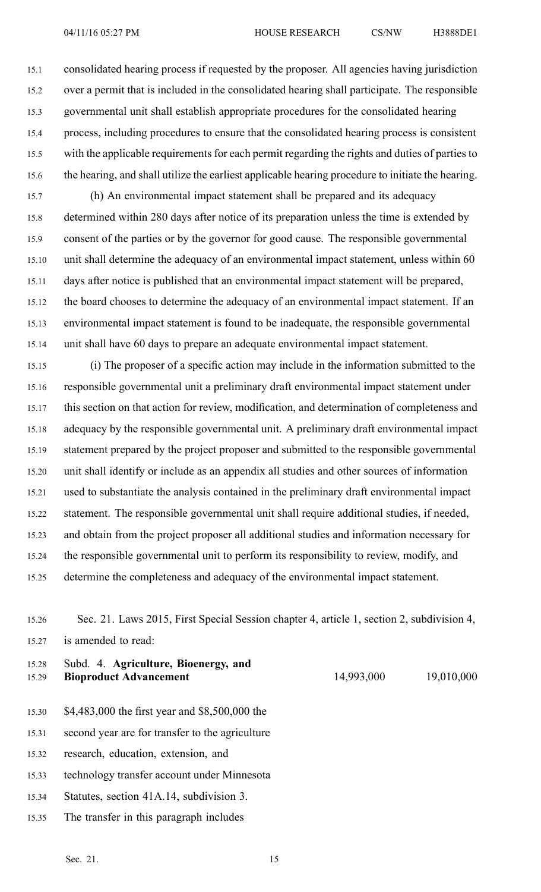15.1 consolidated hearing process if requested by the proposer. All agencies having jurisdiction 15.2 over <sup>a</sup> permit that is included in the consolidated hearing shall participate. The responsible 15.3 governmental unit shall establish appropriate procedures for the consolidated hearing 15.4 process, including procedures to ensure that the consolidated hearing process is consistent 15.5 with the applicable requirements for each permit regarding the rights and duties of parties to 15.6 the hearing, and shall utilize the earliest applicable hearing procedure to initiate the hearing.

15.7 (h) An environmental impact statement shall be prepared and its adequacy 15.8 determined within 280 days after notice of its preparation unless the time is extended by 15.9 consent of the parties or by the governor for good cause. The responsible governmental 15.10 unit shall determine the adequacy of an environmental impact statement, unless within 60 15.11 days after notice is published that an environmental impact statement will be prepared, 15.12 the board chooses to determine the adequacy of an environmental impact statement. If an 15.13 environmental impact statement is found to be inadequate, the responsible governmental 15.14 unit shall have 60 days to prepare an adequate environmental impact statement.

15.15 (i) The proposer of <sup>a</sup> specific action may include in the information submitted to the 15.16 responsible governmental unit <sup>a</sup> preliminary draft environmental impact statement under 15.17 this section on that action for review, modification, and determination of completeness and 15.18 adequacy by the responsible governmental unit. A preliminary draft environmental impact 15.19 statement prepared by the project proposer and submitted to the responsible governmental 15.20 unit shall identify or include as an appendix all studies and other sources of information 15.21 used to substantiate the analysis contained in the preliminary draft environmental impact 15.22 statement. The responsible governmental unit shall require additional studies, if needed, 15.23 and obtain from the project proposer all additional studies and information necessary for 15.24 the responsible governmental unit to perform its responsibility to review, modify, and 15.25 determine the completeness and adequacy of the environmental impact statement.

15.26 Sec. 21. Laws 2015, First Special Session chapter 4, article 1, section 2, subdivision 4, 15.27 is amended to read:

15.28 Subd. 4. **Agriculture, Bioenergy, and** 15.29 **Bioproduct Advancement** 14,993,000 19,010,000

- 15.30 \$4,483,000 the first year and \$8,500,000 the
- 15.31 second year are for transfer to the agriculture
- 15.32 research, education, extension, and
- 15.33 technology transfer account under Minnesota
- 15.34 Statutes, section 41A.14, subdivision 3.
- 15.35 The transfer in this paragraph includes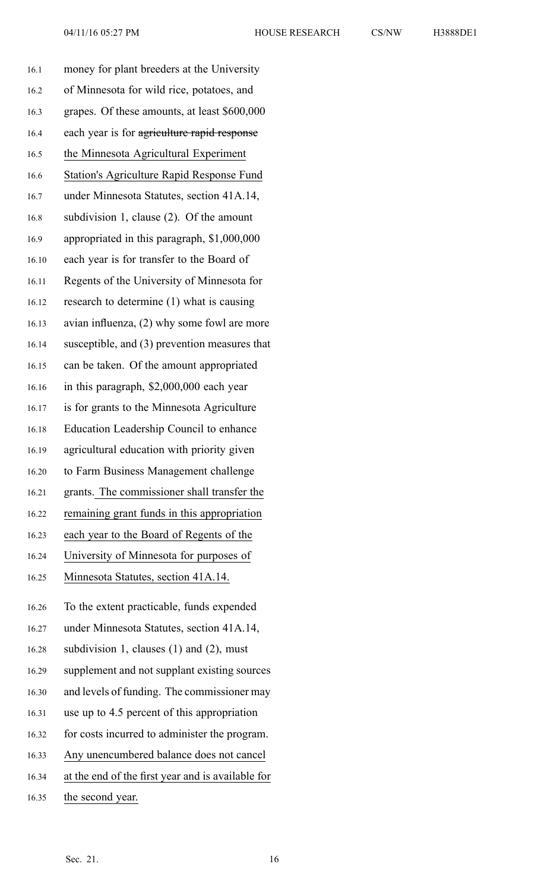| H3888DE1 |  |  |  |
|----------|--|--|--|
|----------|--|--|--|

| 16.1  | money for plant breeders at the University        |
|-------|---------------------------------------------------|
| 16.2  | of Minnesota for wild rice, potatoes, and         |
| 16.3  | grapes. Of these amounts, at least \$600,000      |
| 16.4  | each year is for agriculture rapid response       |
| 16.5  | the Minnesota Agricultural Experiment             |
| 16.6  | <b>Station's Agriculture Rapid Response Fund</b>  |
| 16.7  | under Minnesota Statutes, section 41A.14,         |
| 16.8  | subdivision 1, clause $(2)$ . Of the amount       |
| 16.9  | appropriated in this paragraph, \$1,000,000       |
| 16.10 | each year is for transfer to the Board of         |
| 16.11 | Regents of the University of Minnesota for        |
| 16.12 | research to determine (1) what is causing         |
| 16.13 | avian influenza, (2) why some fowl are more       |
| 16.14 | susceptible, and (3) prevention measures that     |
| 16.15 | can be taken. Of the amount appropriated          |
| 16.16 | in this paragraph, \$2,000,000 each year          |
| 16.17 | is for grants to the Minnesota Agriculture        |
| 16.18 | Education Leadership Council to enhance           |
| 16.19 | agricultural education with priority given        |
| 16.20 | to Farm Business Management challenge             |
| 16.21 | grants. The commissioner shall transfer the       |
| 16.22 | remaining grant funds in this appropriation       |
| 16.23 | each year to the Board of Regents of the          |
| 16.24 | University of Minnesota for purposes of           |
| 16.25 | Minnesota Statutes, section 41A.14.               |
| 16.26 | To the extent practicable, funds expended         |
| 16.27 | under Minnesota Statutes, section 41A.14,         |
| 16.28 | subdivision 1, clauses $(1)$ and $(2)$ , must     |
| 16.29 | supplement and not supplant existing sources      |
| 16.30 | and levels of funding. The commissioner may       |
| 16.31 | use up to 4.5 percent of this appropriation       |
| 16.32 | for costs incurred to administer the program.     |
| 16.33 | Any unencumbered balance does not cancel          |
| 16.34 | at the end of the first year and is available for |
| 16.35 | the second year.                                  |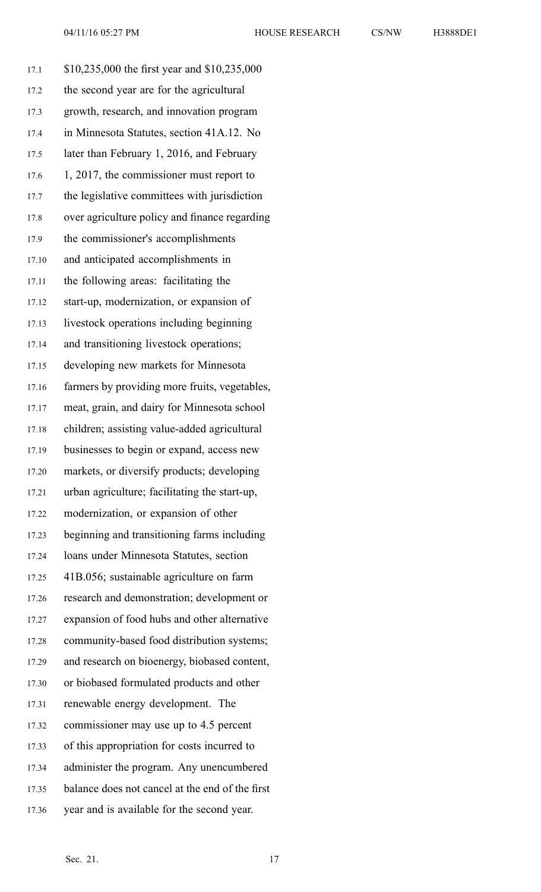17.1 \$10,235,000 the first year and \$10,235,000 17.2 the second year are for the agricultural 17.3 growth, research, and innovation program 17.4 in Minnesota Statutes, section 41A.12. No 17.5 later than February 1, 2016, and February 17.6 1, 2017, the commissioner must report to 17.7 the legislative committees with jurisdiction 17.8 over agriculture policy and finance regarding 17.9 the commissioner's accomplishments 17.10 and anticipated accomplishments in 17.11 the following areas: facilitating the 17.12 start-up, modernization, or expansion of 17.13 livestock operations including beginning 17.14 and transitioning livestock operations; 17.15 developing new markets for Minnesota 17.16 farmers by providing more fruits, vegetables, 17.17 meat, grain, and dairy for Minnesota school 17.18 children; assisting value-added agricultural 17.19 businesses to begin or expand, access new 17.20 markets, or diversify products; developing 17.21 urban agriculture; facilitating the start-up, 17.22 modernization, or expansion of other 17.23 beginning and transitioning farms including 17.24 loans under Minnesota Statutes, section 17.25 41B.056; sustainable agriculture on farm 17.26 research and demonstration; development or 17.27 expansion of food hubs and other alternative 17.28 community-based food distribution systems; 17.29 and research on bioenergy, biobased content, 17.30 or biobased formulated products and other 17.31 renewable energy development. The 17.32 commissioner may use up to 4.5 percen<sup>t</sup> 17.33 of this appropriation for costs incurred to 17.34 administer the program. Any unencumbered 17.35 balance does not cancel at the end of the first 17.36 year and is available for the second year.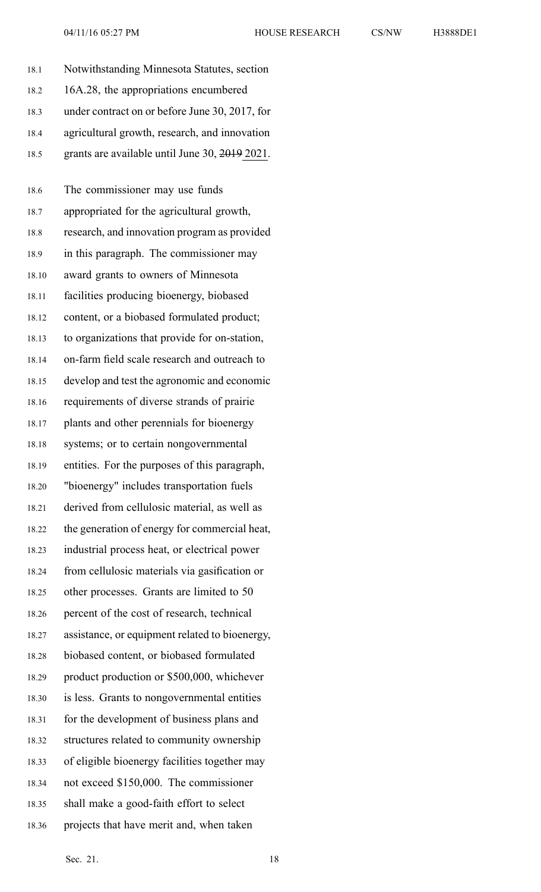| 16A.28, the appropriations encumbered<br>18.2<br>under contract on or before June 30, 2017, for<br>18.3<br>agricultural growth, research, and innovation<br>18.4<br>grants are available until June 30, 2019 2021.<br>18.5<br>The commissioner may use funds<br>18.6<br>appropriated for the agricultural growth,<br>18.7<br>research, and innovation program as provided<br>18.8<br>in this paragraph. The commissioner may<br>18.9<br>award grants to owners of Minnesota<br>18.10<br>facilities producing bioenergy, biobased<br>18.11 |  |
|-------------------------------------------------------------------------------------------------------------------------------------------------------------------------------------------------------------------------------------------------------------------------------------------------------------------------------------------------------------------------------------------------------------------------------------------------------------------------------------------------------------------------------------------|--|
|                                                                                                                                                                                                                                                                                                                                                                                                                                                                                                                                           |  |
|                                                                                                                                                                                                                                                                                                                                                                                                                                                                                                                                           |  |
|                                                                                                                                                                                                                                                                                                                                                                                                                                                                                                                                           |  |
|                                                                                                                                                                                                                                                                                                                                                                                                                                                                                                                                           |  |
|                                                                                                                                                                                                                                                                                                                                                                                                                                                                                                                                           |  |
|                                                                                                                                                                                                                                                                                                                                                                                                                                                                                                                                           |  |
|                                                                                                                                                                                                                                                                                                                                                                                                                                                                                                                                           |  |
|                                                                                                                                                                                                                                                                                                                                                                                                                                                                                                                                           |  |
|                                                                                                                                                                                                                                                                                                                                                                                                                                                                                                                                           |  |
|                                                                                                                                                                                                                                                                                                                                                                                                                                                                                                                                           |  |
| content, or a biobased formulated product;<br>18.12                                                                                                                                                                                                                                                                                                                                                                                                                                                                                       |  |
| to organizations that provide for on-station,<br>18.13                                                                                                                                                                                                                                                                                                                                                                                                                                                                                    |  |
| on-farm field scale research and outreach to<br>18.14                                                                                                                                                                                                                                                                                                                                                                                                                                                                                     |  |
| develop and test the agronomic and economic<br>18.15                                                                                                                                                                                                                                                                                                                                                                                                                                                                                      |  |
| requirements of diverse strands of prairie<br>18.16                                                                                                                                                                                                                                                                                                                                                                                                                                                                                       |  |
| plants and other perennials for bioenergy<br>18.17                                                                                                                                                                                                                                                                                                                                                                                                                                                                                        |  |
| systems; or to certain nongovernmental<br>18.18                                                                                                                                                                                                                                                                                                                                                                                                                                                                                           |  |
| entities. For the purposes of this paragraph,<br>18.19                                                                                                                                                                                                                                                                                                                                                                                                                                                                                    |  |
| "bioenergy" includes transportation fuels<br>18.20                                                                                                                                                                                                                                                                                                                                                                                                                                                                                        |  |
| derived from cellulosic material, as well as<br>18.21                                                                                                                                                                                                                                                                                                                                                                                                                                                                                     |  |
| the generation of energy for commercial heat,<br>18.22                                                                                                                                                                                                                                                                                                                                                                                                                                                                                    |  |
| industrial process heat, or electrical power<br>18.23                                                                                                                                                                                                                                                                                                                                                                                                                                                                                     |  |
| from cellulosic materials via gasification or<br>18.24                                                                                                                                                                                                                                                                                                                                                                                                                                                                                    |  |
| other processes. Grants are limited to 50<br>18.25                                                                                                                                                                                                                                                                                                                                                                                                                                                                                        |  |
| percent of the cost of research, technical<br>18.26                                                                                                                                                                                                                                                                                                                                                                                                                                                                                       |  |
| assistance, or equipment related to bioenergy,<br>18.27                                                                                                                                                                                                                                                                                                                                                                                                                                                                                   |  |
| biobased content, or biobased formulated<br>18.28                                                                                                                                                                                                                                                                                                                                                                                                                                                                                         |  |
| product production or \$500,000, whichever<br>18.29                                                                                                                                                                                                                                                                                                                                                                                                                                                                                       |  |
| is less. Grants to nongovernmental entities<br>18.30                                                                                                                                                                                                                                                                                                                                                                                                                                                                                      |  |
| for the development of business plans and<br>18.31                                                                                                                                                                                                                                                                                                                                                                                                                                                                                        |  |
| structures related to community ownership<br>18.32                                                                                                                                                                                                                                                                                                                                                                                                                                                                                        |  |
| of eligible bioenergy facilities together may<br>18.33                                                                                                                                                                                                                                                                                                                                                                                                                                                                                    |  |
| not exceed \$150,000. The commissioner<br>18.34                                                                                                                                                                                                                                                                                                                                                                                                                                                                                           |  |
| shall make a good-faith effort to select<br>18.35                                                                                                                                                                                                                                                                                                                                                                                                                                                                                         |  |
| projects that have merit and, when taken<br>18.36                                                                                                                                                                                                                                                                                                                                                                                                                                                                                         |  |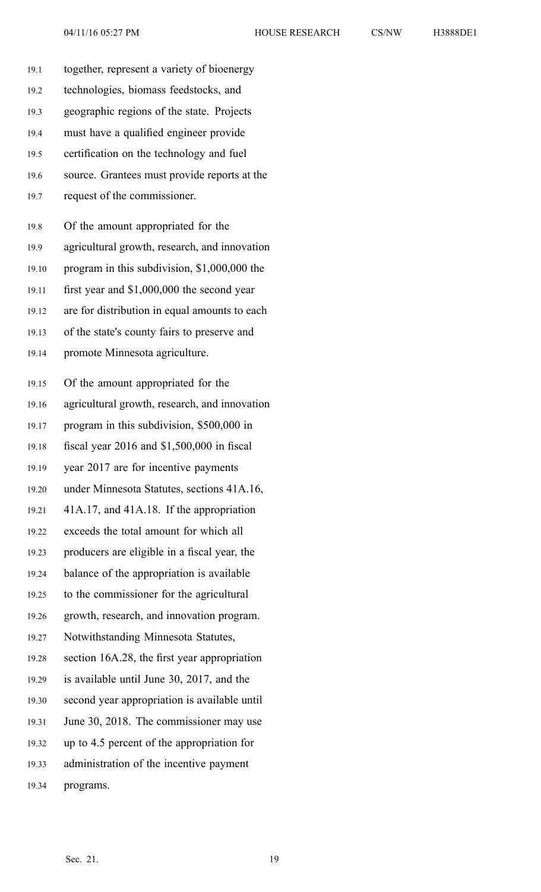| 19.1  | together, represent a variety of bioenergy    |
|-------|-----------------------------------------------|
| 19.2  | technologies, biomass feedstocks, and         |
| 19.3  | geographic regions of the state. Projects     |
| 19.4  | must have a qualified engineer provide        |
| 19.5  | certification on the technology and fuel      |
| 19.6  | source. Grantees must provide reports at the  |
| 19.7  | request of the commissioner.                  |
| 19.8  | Of the amount appropriated for the            |
| 19.9  | agricultural growth, research, and innovation |
| 19.10 | program in this subdivision, \$1,000,000 the  |
| 19.11 | first year and \$1,000,000 the second year    |
| 19.12 | are for distribution in equal amounts to each |
| 19.13 | of the state's county fairs to preserve and   |
| 19.14 | promote Minnesota agriculture.                |
| 19.15 | Of the amount appropriated for the            |
| 19.16 | agricultural growth, research, and innovation |
| 19.17 | program in this subdivision, \$500,000 in     |
| 19.18 | fiscal year $2016$ and $$1,500,000$ in fiscal |
| 19.19 | year 2017 are for incentive payments          |
| 19.20 | under Minnesota Statutes, sections 41A.16,    |
| 19.21 | 41A.17, and 41A.18. If the appropriation      |
| 19.22 | exceeds the total amount for which all        |
| 19.23 | producers are eligible in a fiscal year, the  |
| 19.24 | balance of the appropriation is available     |
| 19.25 | to the commissioner for the agricultural      |
| 19.26 | growth, research, and innovation program.     |
| 19.27 | Notwithstanding Minnesota Statutes,           |
| 19.28 | section 16A.28, the first year appropriation  |
| 19.29 | is available until June 30, 2017, and the     |
| 19.30 | second year appropriation is available until  |
| 19.31 | June 30, 2018. The commissioner may use       |
| 19.32 | up to 4.5 percent of the appropriation for    |
| 19.33 | administration of the incentive payment       |

19.34 programs.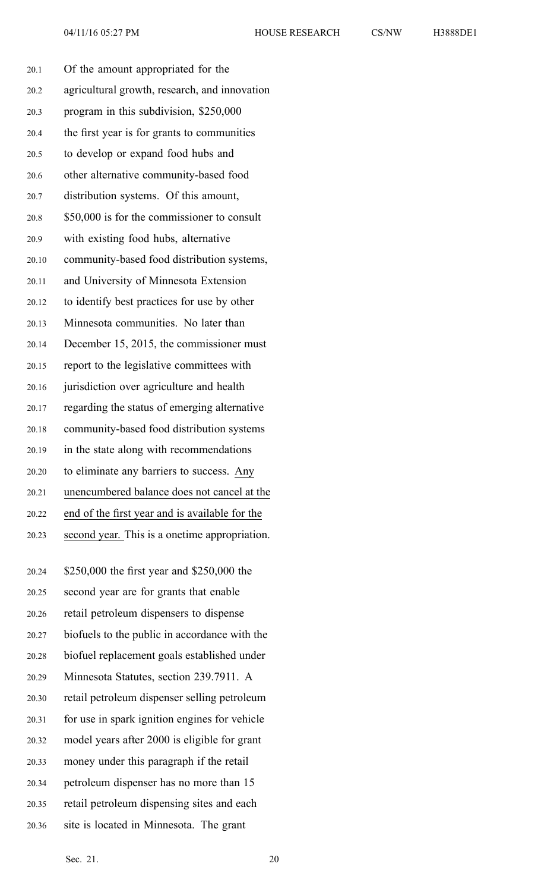| 20.1  | Of the amount appropriated for the             |
|-------|------------------------------------------------|
| 20.2  | agricultural growth, research, and innovation  |
| 20.3  | program in this subdivision, \$250,000         |
| 20.4  | the first year is for grants to communities    |
| 20.5  | to develop or expand food hubs and             |
| 20.6  | other alternative community-based food         |
| 20.7  | distribution systems. Of this amount,          |
| 20.8  | \$50,000 is for the commissioner to consult    |
| 20.9  | with existing food hubs, alternative           |
| 20.10 | community-based food distribution systems,     |
| 20.11 | and University of Minnesota Extension          |
| 20.12 | to identify best practices for use by other    |
| 20.13 | Minnesota communities. No later than           |
| 20.14 | December 15, 2015, the commissioner must       |
| 20.15 | report to the legislative committees with      |
| 20.16 | jurisdiction over agriculture and health       |
| 20.17 | regarding the status of emerging alternative   |
| 20.18 | community-based food distribution systems      |
| 20.19 | in the state along with recommendations        |
| 20.20 | to eliminate any barriers to success. Any      |
| 20.21 | unencumbered balance does not cancel at the    |
| 20.22 | end of the first year and is available for the |
| 20.23 | second year. This is a onetime appropriation.  |
|       |                                                |
| 20.24 | \$250,000 the first year and \$250,000 the     |
| 20.25 | second year are for grants that enable         |
| 20.26 | retail petroleum dispensers to dispense        |
| 20.27 | biofuels to the public in accordance with the  |
| 20.28 | biofuel replacement goals established under    |

20.29 Minnesota Statutes, section 239.7911. A

20.30 retail petroleum dispenser selling petroleum

20.31 for use in spark ignition engines for vehicle

20.32 model years after 2000 is eligible for gran<sup>t</sup>

20.33 money under this paragraph if the retail

20.34 petroleum dispenser has no more than 15

20.35 retail petroleum dispensing sites and each

20.36 site is located in Minnesota. The gran<sup>t</sup>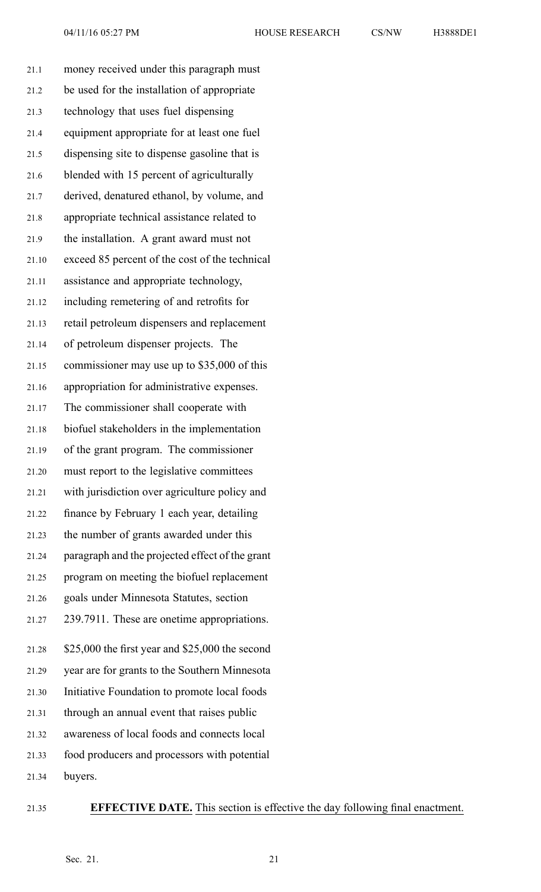| money received under this paragraph must        |
|-------------------------------------------------|
| be used for the installation of appropriate     |
| technology that uses fuel dispensing            |
| equipment appropriate for at least one fuel     |
| dispensing site to dispense gasoline that is    |
| blended with 15 percent of agriculturally       |
| derived, denatured ethanol, by volume, and      |
| appropriate technical assistance related to     |
| the installation. A grant award must not        |
| exceed 85 percent of the cost of the technical  |
| assistance and appropriate technology,          |
| including remetering of and retrofits for       |
| retail petroleum dispensers and replacement     |
| of petroleum dispenser projects. The            |
| commissioner may use up to \$35,000 of this     |
| appropriation for administrative expenses.      |
| The commissioner shall cooperate with           |
| biofuel stakeholders in the implementation      |
| of the grant program. The commissioner          |
| must report to the legislative committees       |
| with jurisdiction over agriculture policy and   |
| finance by February 1 each year, detailing      |
| the number of grants awarded under this         |
| paragraph and the projected effect of the grant |
| program on meeting the biofuel replacement      |
| goals under Minnesota Statutes, section         |
| 239.7911. These are onetime appropriations.     |
| \$25,000 the first year and \$25,000 the second |
| year are for grants to the Southern Minnesota   |
| Initiative Foundation to promote local foods    |
| through an annual event that raises public      |
| awareness of local foods and connects local     |
| food producers and processors with potential    |
| buyers.                                         |
|                                                 |

## 21.35 **EFFECTIVE DATE.** This section is effective the day following final enactment.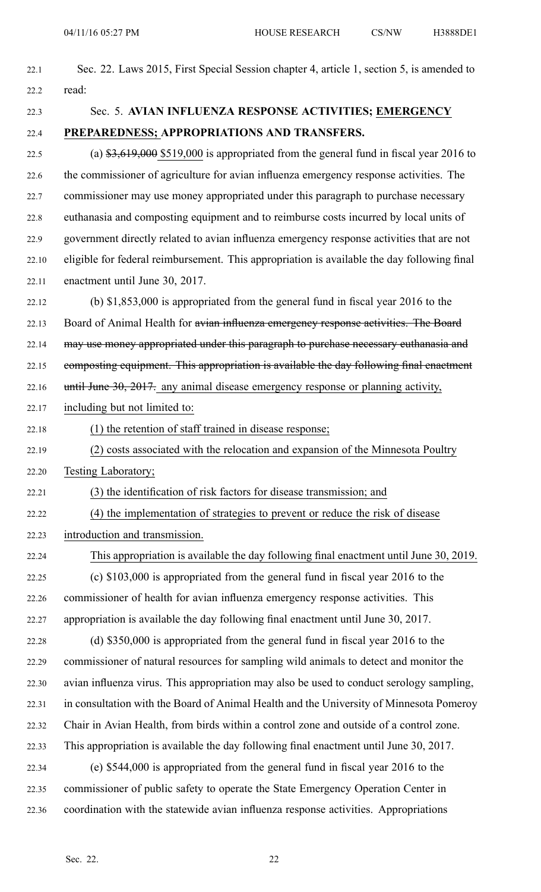| 22.1  | Sec. 22. Laws 2015, First Special Session chapter 4, article 1, section 5, is amended to         |
|-------|--------------------------------------------------------------------------------------------------|
| 22.2  | read:                                                                                            |
| 22.3  | Sec. 5. AVIAN INFLUENZA RESPONSE ACTIVITIES; EMERGENCY                                           |
| 22.4  | PREPAREDNESS; APPROPRIATIONS AND TRANSFERS.                                                      |
| 22.5  | (a) $\frac{1}{3},619,000$ \$519,000 is appropriated from the general fund in fiscal year 2016 to |
| 22.6  | the commissioner of agriculture for avian influenza emergency response activities. The           |
| 22.7  | commissioner may use money appropriated under this paragraph to purchase necessary               |
| 22.8  | euthanasia and composting equipment and to reimburse costs incurred by local units of            |
| 22.9  | government directly related to avian influenza emergency response activities that are not        |
| 22.10 | eligible for federal reimbursement. This appropriation is available the day following final      |
| 22.11 | enactment until June 30, 2017.                                                                   |
| 22.12 | (b) $$1,853,000$ is appropriated from the general fund in fiscal year 2016 to the                |
| 22.13 | Board of Animal Health for avian influenza emergency response activities. The Board              |
| 22.14 | may use money appropriated under this paragraph to purchase necessary euthanasia and             |
| 22.15 | composting equipment. This appropriation is available the day following final enactment          |
| 22.16 | until June 30, 2017. any animal disease emergency response or planning activity,                 |
| 22.17 | including but not limited to:                                                                    |
| 22.18 | (1) the retention of staff trained in disease response;                                          |
| 22.19 | (2) costs associated with the relocation and expansion of the Minnesota Poultry                  |
| 22.20 | Testing Laboratory;                                                                              |
| 22.21 | (3) the identification of risk factors for disease transmission; and                             |
| 22.22 | (4) the implementation of strategies to prevent or reduce the risk of disease                    |
| 22.23 | introduction and transmission.                                                                   |
| 22.24 | This appropriation is available the day following final enactment until June 30, 2019.           |
| 22.25 | (c) \$103,000 is appropriated from the general fund in fiscal year 2016 to the                   |
| 22.26 | commissioner of health for avian influenza emergency response activities. This                   |
| 22.27 | appropriation is available the day following final enactment until June 30, 2017.                |
| 22.28 | (d) \$350,000 is appropriated from the general fund in fiscal year 2016 to the                   |
| 22.29 | commissioner of natural resources for sampling wild animals to detect and monitor the            |
| 22.30 | avian influenza virus. This appropriation may also be used to conduct serology sampling,         |
| 22.31 | in consultation with the Board of Animal Health and the University of Minnesota Pomeroy          |
| 22.32 | Chair in Avian Health, from birds within a control zone and outside of a control zone.           |
| 22.33 | This appropriation is available the day following final enactment until June 30, 2017.           |
| 22.34 | (e) \$544,000 is appropriated from the general fund in fiscal year 2016 to the                   |
| 22.35 | commissioner of public safety to operate the State Emergency Operation Center in                 |
| 22.36 | coordination with the statewide avian influenza response activities. Appropriations              |